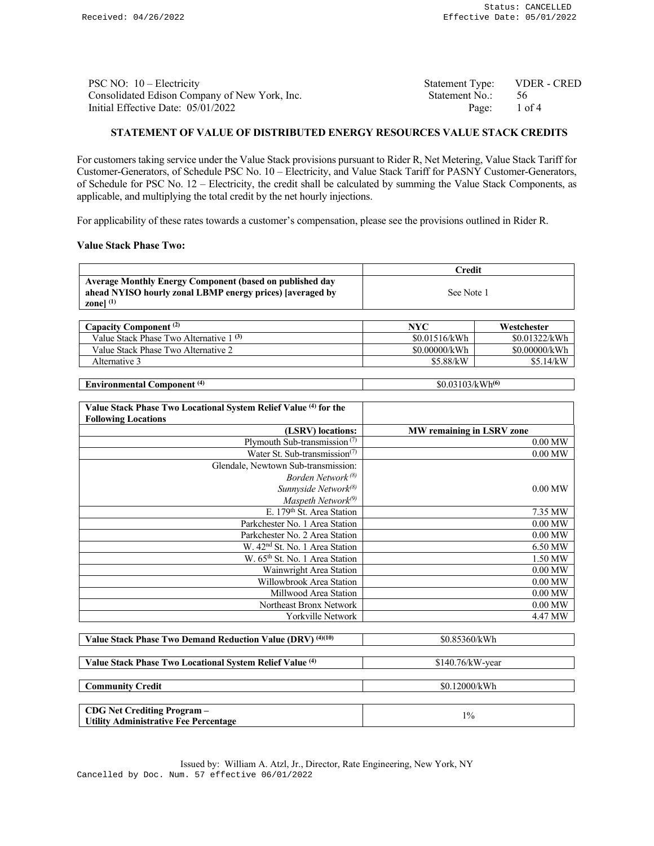| PSC NO: $10$ – Electricity                    | Statement Type: VDER - CRED |  |
|-----------------------------------------------|-----------------------------|--|
| Consolidated Edison Company of New York, Inc. | Statement No.: 56           |  |
| Initial Effective Date: $05/01/2022$          | Page: 1 of 4                |  |

## **STATEMENT OF VALUE OF DISTRIBUTED ENERGY RESOURCES VALUE STACK CREDITS**

For customers taking service under the Value Stack provisions pursuant to Rider R, Net Metering, Value Stack Tariff for Customer-Generators, of Schedule PSC No. 10 – Electricity, and Value Stack Tariff for PASNY Customer-Generators, of Schedule for PSC No. 12 – Electricity, the credit shall be calculated by summing the Value Stack Components, as applicable, and multiplying the total credit by the net hourly injections.

For applicability of these rates towards a customer's compensation, please see the provisions outlined in Rider R.

## **Value Stack Phase Two:**

|                                                                                                                                             | Credit     |
|---------------------------------------------------------------------------------------------------------------------------------------------|------------|
| <b>Average Monthly Energy Component (based on published day</b><br>ahead NYISO hourly zonal LBMP energy prices) [averaged by<br>zonel $(1)$ | See Note 1 |

| Capacity Component <sup>(2)</sup>       | NYC           | Westchester   |
|-----------------------------------------|---------------|---------------|
| Value Stack Phase Two Alternative 1 (3) | \$0.01516/kWh | \$0.01322/kWh |
| Value Stack Phase Two Alternative 2     | \$0.00000/kWh | \$0.00000/kWh |
| Alternative 3                           | \$5.88/kW     | \$5.14/kW     |

| $\mathbf{r}$<br>- 14<br>Environmenta'<br>nonent | Wh(6)<br>$\mathcal{L}$<br>м |
|-------------------------------------------------|-----------------------------|
|                                                 |                             |

| Value Stack Phase Two Locational System Relief Value (4) for the |                                  |
|------------------------------------------------------------------|----------------------------------|
| <b>Following Locations</b>                                       |                                  |
| (LSRV) locations:                                                | <b>MW</b> remaining in LSRV zone |
| Plymouth Sub-transmission $(7)$                                  | $0.00$ MW                        |
| Water St. Sub-transmission <sup>(7)</sup>                        | $0.00$ MW                        |
| Glendale, Newtown Sub-transmission:                              |                                  |
| Borden Network <sup>(8)</sup>                                    |                                  |
| Sunnyside Network <sup>(8)</sup>                                 | $0.00$ MW                        |
| Maspeth Network <sup>(9)</sup>                                   |                                  |
| E. 179 <sup>th</sup> St. Area Station                            | 7.35 MW                          |
| Parkchester No. 1 Area Station                                   | $0.00$ MW                        |
| Parkchester No. 2 Area Station                                   | $0.00$ MW                        |
| W. 42 <sup>nd</sup> St. No. 1 Area Station                       | 6.50 MW                          |
| W. 65 <sup>th</sup> St. No. 1 Area Station                       | 1.50 MW                          |
| Wainwright Area Station                                          | $0.00$ MW                        |
| Willowbrook Area Station                                         | $0.00$ MW                        |
| Millwood Area Station                                            | $0.00$ MW                        |
| Northeast Bronx Network                                          | $0.00$ MW                        |
| Yorkville Network                                                | 4.47 MW                          |
|                                                                  |                                  |
| Velue Steel: Phose Two Demand Beduction Velue (DDV) (4)(10)      | $P_0$ $Q_5$ $2$ $6$ $0$ $R$ $W$  |

| <b>V</b> and state 1 has to be pentang excusively value (DRV) $\sim$ 2.2 | <b>DU.OJJUU/IN YY II</b> |
|--------------------------------------------------------------------------|--------------------------|
|                                                                          |                          |
| Value Stack Phase Two Locational System Relief Value (4)                 | $$140.76/kW-year$        |
|                                                                          |                          |
| <b>Community Credit</b>                                                  | \$0.12000/kWh            |
|                                                                          |                          |
| <b>CDG Net Crediting Program -</b>                                       | $1\%$                    |
| <b>Utility Administrative Fee Percentage</b>                             |                          |

Issued by: William A. Atzl, Jr., Director, Rate Engineering, New York, NY Cancelled by Doc. Num. 57 effective 06/01/2022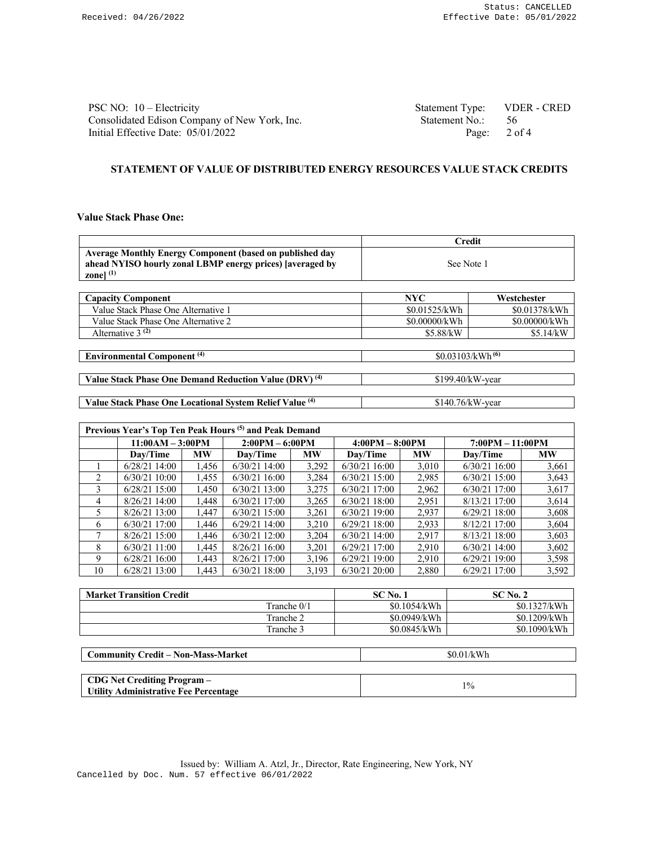| PSC NO: $10$ – Electricity                    | Statement Type: VDER - CRED |      |
|-----------------------------------------------|-----------------------------|------|
| Consolidated Edison Company of New York, Inc. | Statement No.:              | - 56 |
| Initial Effective Date: 05/01/2022            | Page: $2 \text{ of } 4$     |      |

## **STATEMENT OF VALUE OF DISTRIBUTED ENERGY RESOURCES VALUE STACK CREDITS**

## **Value Stack Phase One:**

|                                                                                                                                                             | <b>Credit</b>                |               |  |
|-------------------------------------------------------------------------------------------------------------------------------------------------------------|------------------------------|---------------|--|
| <b>Average Monthly Energy Component (based on published day</b><br>ahead NYISO hourly zonal LBMP energy prices) [averaged by<br>zone $\vert$ <sup>(1)</sup> | See Note 1                   |               |  |
| <b>Capacity Component</b>                                                                                                                                   | NYC.                         | Westchester   |  |
|                                                                                                                                                             |                              |               |  |
| Value Stack Phase One Alternative 1                                                                                                                         | \$0.01525/kWh                | \$0.01378/kWh |  |
| Value Stack Phase One Alternative 2                                                                                                                         | \$0.00000/kWh                | \$0.00000/kWh |  |
| Alternative $3^{(2)}$                                                                                                                                       | \$5.88/kW                    | \$5.14/kW     |  |
|                                                                                                                                                             |                              |               |  |
| <b>Environmental Component</b> <sup>(4)</sup>                                                                                                               | \$0.03103/kWh <sup>(6)</sup> |               |  |
|                                                                                                                                                             |                              |               |  |

**Value Stack Phase One Demand Reduction Value (DRV)<sup>(4)</sup> \$199.40/kW-year** 

**Value Stack Phase One Locational System Relief Value (4)** \$140.76/kW-year

| Previous Year's Top Ten Peak Hours <sup>(5)</sup> and Peak Demand |                                 |           |                   |           |                   |           |                    |           |
|-------------------------------------------------------------------|---------------------------------|-----------|-------------------|-----------|-------------------|-----------|--------------------|-----------|
|                                                                   | $11:00AM - 3:00PM$              |           | $2:00PM - 6:00PM$ |           | $4:00PM - 8:00PM$ |           | $7:00PM - 11:00PM$ |           |
|                                                                   | Dav/Time                        | <b>MW</b> | Dav/Time          | <b>MW</b> | Dav/Time          | <b>MW</b> | Day/Time           | <b>MW</b> |
|                                                                   | 6/28/21 14:00                   | 1,456     | $6/30/21$ 14:00   | 3,292     | $6/30/21$ 16:00   | 3,010     | $6/30/21$ 16:00    | 3,661     |
| $\mathfrak{D}_{\mathfrak{p}}$                                     | $6/30/21$ 10:00                 | 1.455     | $6/30/21$ 16:00   | 3,284     | $6/30/21$ 15:00   | 2,985     | $6/30/21$ 15:00    | 3,643     |
| 3                                                                 | $6/28/21$ 15:00                 | 1.450     | $6/30/21$ 13:00   | 3,275     | $6/30/21$ 17:00   | 2,962     | 6/30/21 17:00      | 3,617     |
| 4                                                                 | 8/26/21 14:00                   | 1.448     | $6/30/21$ 17:00   | 3,265     | $6/30/21$ 18:00   | 2,951     | 8/13/21 17:00      | 3,614     |
| 5.                                                                | $8/26/21$ 13:00                 | 1.447     | $6/30/21$ 15:00   | 3,261     | $6/30/21$ 19:00   | 2,937     | $6/29/21$ 18:00    | 3,608     |
| 6                                                                 | 6/30/21 17:00                   | 1.446     | $6/29/21$ 14:00   | 3,210     | $6/29/21$ 18:00   | 2.933     | 8/12/21 17:00      | 3,604     |
|                                                                   | 8/26/21 15:00                   | 1.446     | $6/30/21$ 12:00   | 3.204     | $6/30/21$ 14:00   | 2,917     | 8/13/21 18:00      | 3,603     |
| 8                                                                 | $6/30/21$ 11:00                 | 1.445     | 8/26/2116:00      | 3.201     | $6/29/21$ 17:00   | 2.910     | $6/30/21$ 14:00    | 3.602     |
| 9                                                                 | $6/28/21$ 16:00                 | 1.443     | 8/26/21 17:00     | 3.196     | 6/29/2119:00      | 2.910     | $6/29/21$ 19:00    | 3,598     |
| 10                                                                | 6/28/21 13:00                   | 1,443     | $6/30/21$ 18:00   | 3,193     | $6/30/21$ 20:00   | 2,880     | $6/29/21$ 17:00    | 3,592     |
|                                                                   |                                 |           |                   |           |                   |           |                    |           |
|                                                                   | $M = 1$ and $M = 1$ and $M = 1$ |           |                   |           | $C C N$ $N$ $-1$  |           | 0.0213             |           |

| <b>Market Transition Credit</b> | SC No.       | $SCN0$ . 2   |
|---------------------------------|--------------|--------------|
| Tranche $0/1$                   | \$0.1054/kWh | \$0.1327/kWh |
| Tranche 2                       | \$0.0949/kWh | \$0.1209/kWh |
| Tranche 3                       | \$0.0845/kWh | \$0.1090/kWh |

| <b>Community Credit – Non-Mass-Market</b> | \$0.01/kWh |
|-------------------------------------------|------------|
|                                           |            |
| <b>CDG Net Crediting Program</b> –        | $1\%$      |
| Utility Administrative Fee Percentage     |            |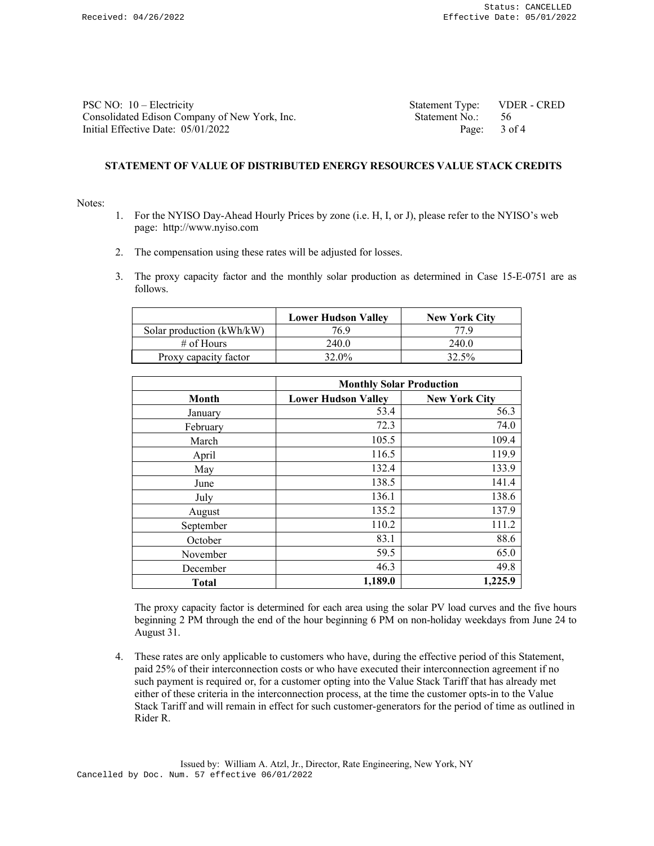| PSC NO: $10$ – Electricity                    | Statement Type: VDER - CRED |  |
|-----------------------------------------------|-----------------------------|--|
| Consolidated Edison Company of New York, Inc. | Statement No.: 56           |  |
| Initial Effective Date: $05/01/2022$          | Page: 3 of 4                |  |

# **STATEMENT OF VALUE OF DISTRIBUTED ENERGY RESOURCES VALUE STACK CREDITS**

#### Notes:

- 1. For the NYISO Day-Ahead Hourly Prices by zone (i.e. H, I, or J), please refer to the NYISO's web page: http://www.nyiso.com
- 2. The compensation using these rates will be adjusted for losses.
- 3. The proxy capacity factor and the monthly solar production as determined in Case 15-E-0751 are as follows.

|                           | <b>Lower Hudson Valley</b> | <b>New York City</b> |
|---------------------------|----------------------------|----------------------|
| Solar production (kWh/kW) | 76.9                       | 77 Q                 |
| $\#$ of Hours             | 240.0                      | 240.0                |
| Proxy capacity factor     | 32.0%                      | 32.5%                |

|              | <b>Monthly Solar Production</b> |                      |
|--------------|---------------------------------|----------------------|
| Month        | <b>Lower Hudson Valley</b>      | <b>New York City</b> |
| January      | 53.4                            | 56.3                 |
| February     | 72.3                            | 74.0                 |
| March        | 105.5                           | 109.4                |
| April        | 116.5                           | 119.9                |
| May          | 132.4                           | 133.9                |
| June         | 138.5                           | 141.4                |
| July         | 136.1                           | 138.6                |
| August       | 135.2                           | 137.9                |
| September    | 110.2                           | 111.2                |
| October      | 83.1                            | 88.6                 |
| November     | 59.5                            | 65.0                 |
| December     | 46.3                            | 49.8                 |
| <b>Total</b> | 1,189.0                         | 1,225.9              |

The proxy capacity factor is determined for each area using the solar PV load curves and the five hours beginning 2 PM through the end of the hour beginning 6 PM on non-holiday weekdays from June 24 to August 31.

4. These rates are only applicable to customers who have, during the effective period of this Statement, paid 25% of their interconnection costs or who have executed their interconnection agreement if no such payment is required or, for a customer opting into the Value Stack Tariff that has already met either of these criteria in the interconnection process, at the time the customer opts-in to the Value Stack Tariff and will remain in effect for such customer-generators for the period of time as outlined in Rider R.